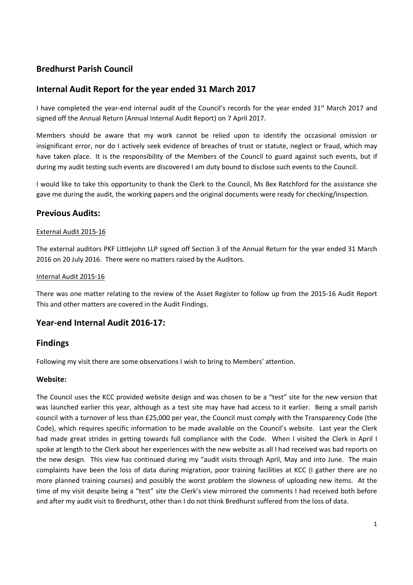# **Bredhurst Parish Council**

# **Internal Audit Report for the year ended 31 March 2017**

I have completed the year-end internal audit of the Council's records for the year ended 31<sup>st</sup> March 2017 and signed off the Annual Return (Annual Internal Audit Report) on 7 April 2017.

Members should be aware that my work cannot be relied upon to identify the occasional omission or insignificant error, nor do I actively seek evidence of breaches of trust or statute, neglect or fraud, which may have taken place. It is the responsibility of the Members of the Council to guard against such events, but if during my audit testing such events are discovered I am duty bound to disclose such events to the Council.

I would like to take this opportunity to thank the Clerk to the Council, Ms Bex Ratchford for the assistance she gave me during the audit, the working papers and the original documents were ready for checking/inspection.

# **Previous Audits:**

## External Audit 2015-16

The external auditors PKF Littlejohn LLP signed off Section 3 of the Annual Return for the year ended 31 March 2016 on 20 July 2016. There were no matters raised by the Auditors.

#### Internal Audit 2015-16

There was one matter relating to the review of the Asset Register to follow up from the 2015-16 Audit Report This and other matters are covered in the Audit Findings.

# **Year-end Internal Audit 2016-17:**

## **Findings**

Following my visit there are some observations I wish to bring to Members' attention.

#### **Website:**

The Council uses the KCC provided website design and was chosen to be a "test" site for the new version that was launched earlier this year, although as a test site may have had access to it earlier. Being a small parish council with a turnover of less than £25,000 per year, the Council must comply with the Transparency Code (the Code), which requires specific information to be made available on the Council's website. Last year the Clerk had made great strides in getting towards full compliance with the Code. When I visited the Clerk in April I spoke at length to the Clerk about her experiences with the new website as all I had received was bad reports on the new design. This view has continued during my "audit visits through April, May and into June. The main complaints have been the loss of data during migration, poor training facilities at KCC (I gather there are no more planned training courses) and possibly the worst problem the slowness of uploading new items. At the time of my visit despite being a "test" site the Clerk's view mirrored the comments I had received both before and after my audit visit to Bredhurst, other than I do not think Bredhurst suffered from the loss of data.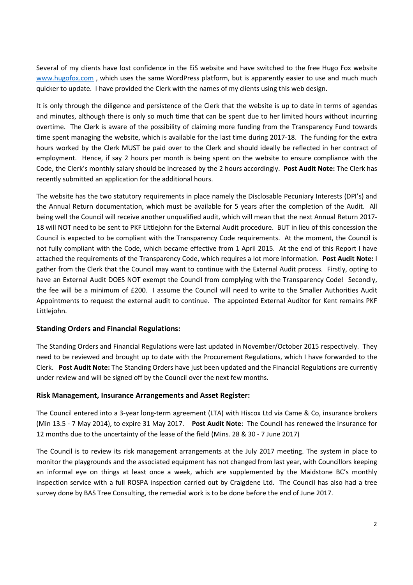Several of my clients have lost confidence in the EiS website and have switched to the free Hugo Fox website www.hugofox.com, which uses the same WordPress platform, but is apparently easier to use and much much quicker to update. I have provided the Clerk with the names of my clients using this web design.

It is only through the diligence and persistence of the Clerk that the website is up to date in terms of agendas and minutes, although there is only so much time that can be spent due to her limited hours without incurring overtime. The Clerk is aware of the possibility of claiming more funding from the Transparency Fund towards time spent managing the website, which is available for the last time during 2017-18. The funding for the extra hours worked by the Clerk MUST be paid over to the Clerk and should ideally be reflected in her contract of employment. Hence, if say 2 hours per month is being spent on the website to ensure compliance with the Code, the Clerk's monthly salary should be increased by the 2 hours accordingly. **Post Audit Note:** The Clerk has recently submitted an application for the additional hours.

The website has the two statutory requirements in place namely the Disclosable Pecuniary Interests (DPI's) and the Annual Return documentation, which must be available for 5 years after the completion of the Audit. All being well the Council will receive another unqualified audit, which will mean that the next Annual Return 2017- 18 will NOT need to be sent to PKF Littlejohn for the External Audit procedure. BUT in lieu of this concession the Council is expected to be compliant with the Transparency Code requirements. At the moment, the Council is not fully compliant with the Code, which became effective from 1 April 2015. At the end of this Report I have attached the requirements of the Transparency Code, which requires a lot more information. **Post Audit Note:** I gather from the Clerk that the Council may want to continue with the External Audit process. Firstly, opting to have an External Audit DOES NOT exempt the Council from complying with the Transparency Code! Secondly, the fee will be a minimum of £200. I assume the Council will need to write to the Smaller Authorities Audit Appointments to request the external audit to continue. The appointed External Auditor for Kent remains PKF Littlejohn.

## **Standing Orders and Financial Regulations:**

The Standing Orders and Financial Regulations were last updated in November/October 2015 respectively. They need to be reviewed and brought up to date with the Procurement Regulations, which I have forwarded to the Clerk. **Post Audit Note:** The Standing Orders have just been updated and the Financial Regulations are currently under review and will be signed off by the Council over the next few months.

#### **Risk Management, Insurance Arrangements and Asset Register:**

The Council entered into a 3-year long-term agreement (LTA) with Hiscox Ltd via Came & Co, insurance brokers (Min 13.5 - 7 May 2014), to expire 31 May 2017. **Post Audit Note**: The Council has renewed the insurance for 12 months due to the uncertainty of the lease of the field (Mins. 28 & 30 - 7 June 2017)

The Council is to review its risk management arrangements at the July 2017 meeting. The system in place to monitor the playgrounds and the associated equipment has not changed from last year, with Councillors keeping an informal eye on things at least once a week, which are supplemented by the Maidstone BC's monthly inspection service with a full ROSPA inspection carried out by Craigdene Ltd. The Council has also had a tree survey done by BAS Tree Consulting, the remedial work is to be done before the end of June 2017.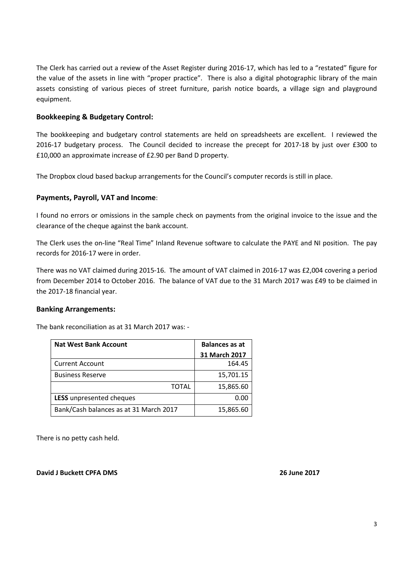The Clerk has carried out a review of the Asset Register during 2016-17, which has led to a "restated" figure for the value of the assets in line with "proper practice". There is also a digital photographic library of the main assets consisting of various pieces of street furniture, parish notice boards, a village sign and playground equipment.

## **Bookkeeping & Budgetary Control:**

The bookkeeping and budgetary control statements are held on spreadsheets are excellent. I reviewed the 2016-17 budgetary process. The Council decided to increase the precept for 2017-18 by just over £300 to £10,000 an approximate increase of £2.90 per Band D property.

The Dropbox cloud based backup arrangements for the Council's computer records is still in place.

## **Payments, Payroll, VAT and Income**:

I found no errors or omissions in the sample check on payments from the original invoice to the issue and the clearance of the cheque against the bank account.

The Clerk uses the on-line "Real Time" Inland Revenue software to calculate the PAYE and NI position. The pay records for 2016-17 were in order.

There was no VAT claimed during 2015-16. The amount of VAT claimed in 2016-17 was £2,004 covering a period from December 2014 to October 2016. The balance of VAT due to the 31 March 2017 was £49 to be claimed in the 2017-18 financial year.

#### **Banking Arrangements:**

The bank reconciliation as at 31 March 2017 was: -

| <b>Nat West Bank Account</b>           | <b>Balances as at</b> |
|----------------------------------------|-----------------------|
|                                        | 31 March 2017         |
| <b>Current Account</b>                 | 164.45                |
| <b>Business Reserve</b>                | 15,701.15             |
| <b>TOTAL</b>                           | 15,865.60             |
| LESS unpresented cheques               | 0.00                  |
| Bank/Cash balances as at 31 March 2017 | 15,865.60             |

There is no petty cash held.

**David J Buckett CPFA DMS 26 June 2017**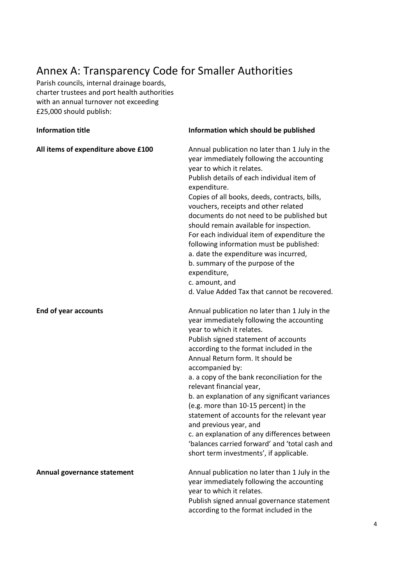# Annex A: Transparency Code for Smaller Authorities

Parish councils, internal drainage boards, charter trustees and port health authorities with an annual turnover not exceeding £25,000 should publish:

| <b>Information title</b>            | Information which should be published                                                                                                                                                                                                                                                                                                                                                                                                                                                                                                                                                                                                                           |
|-------------------------------------|-----------------------------------------------------------------------------------------------------------------------------------------------------------------------------------------------------------------------------------------------------------------------------------------------------------------------------------------------------------------------------------------------------------------------------------------------------------------------------------------------------------------------------------------------------------------------------------------------------------------------------------------------------------------|
| All items of expenditure above £100 | Annual publication no later than 1 July in the<br>year immediately following the accounting<br>year to which it relates.<br>Publish details of each individual item of<br>expenditure.<br>Copies of all books, deeds, contracts, bills,<br>vouchers, receipts and other related<br>documents do not need to be published but<br>should remain available for inspection.<br>For each individual item of expenditure the<br>following information must be published:<br>a. date the expenditure was incurred,<br>b. summary of the purpose of the<br>expenditure,<br>c. amount, and<br>d. Value Added Tax that cannot be recovered.                               |
| <b>End of year accounts</b>         | Annual publication no later than 1 July in the<br>year immediately following the accounting<br>year to which it relates.<br>Publish signed statement of accounts<br>according to the format included in the<br>Annual Return form. It should be<br>accompanied by:<br>a. a copy of the bank reconciliation for the<br>relevant financial year,<br>b. an explanation of any significant variances<br>(e.g. more than 10-15 percent) in the<br>statement of accounts for the relevant year<br>and previous year, and<br>c. an explanation of any differences between<br>'balances carried forward' and 'total cash and<br>short term investments', if applicable. |
| Annual governance statement         | Annual publication no later than 1 July in the<br>year immediately following the accounting<br>year to which it relates.<br>Publish signed annual governance statement<br>according to the format included in the                                                                                                                                                                                                                                                                                                                                                                                                                                               |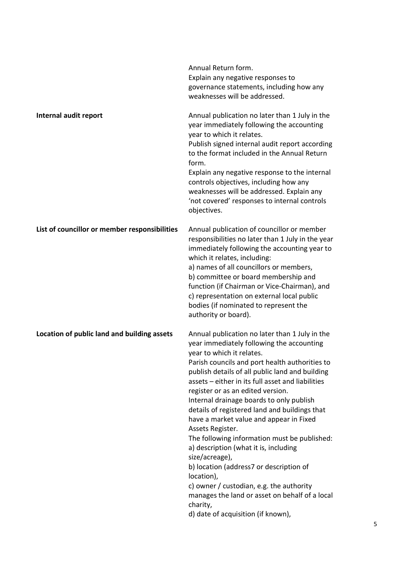|                                               | Annual Return form.<br>Explain any negative responses to<br>governance statements, including how any<br>weaknesses will be addressed.                                                                                                                                                                                                                                                                                                                                                                                                                                                                                                                                                                                                                                                                   |
|-----------------------------------------------|---------------------------------------------------------------------------------------------------------------------------------------------------------------------------------------------------------------------------------------------------------------------------------------------------------------------------------------------------------------------------------------------------------------------------------------------------------------------------------------------------------------------------------------------------------------------------------------------------------------------------------------------------------------------------------------------------------------------------------------------------------------------------------------------------------|
| Internal audit report                         | Annual publication no later than 1 July in the<br>year immediately following the accounting<br>year to which it relates.<br>Publish signed internal audit report according<br>to the format included in the Annual Return<br>form.<br>Explain any negative response to the internal<br>controls objectives, including how any<br>weaknesses will be addressed. Explain any<br>'not covered' responses to internal controls<br>objectives.                                                                                                                                                                                                                                                                                                                                                               |
| List of councillor or member responsibilities | Annual publication of councillor or member<br>responsibilities no later than 1 July in the year<br>immediately following the accounting year to<br>which it relates, including:<br>a) names of all councillors or members,<br>b) committee or board membership and<br>function (if Chairman or Vice-Chairman), and<br>c) representation on external local public<br>bodies (if nominated to represent the<br>authority or board).                                                                                                                                                                                                                                                                                                                                                                       |
| Location of public land and building assets   | Annual publication no later than 1 July in the<br>year immediately following the accounting<br>year to which it relates.<br>Parish councils and port health authorities to<br>publish details of all public land and building<br>assets - either in its full asset and liabilities<br>register or as an edited version.<br>Internal drainage boards to only publish<br>details of registered land and buildings that<br>have a market value and appear in Fixed<br>Assets Register.<br>The following information must be published:<br>a) description (what it is, including<br>size/acreage),<br>b) location (address7 or description of<br>location),<br>c) owner / custodian, e.g. the authority<br>manages the land or asset on behalf of a local<br>charity,<br>d) date of acquisition (if known), |